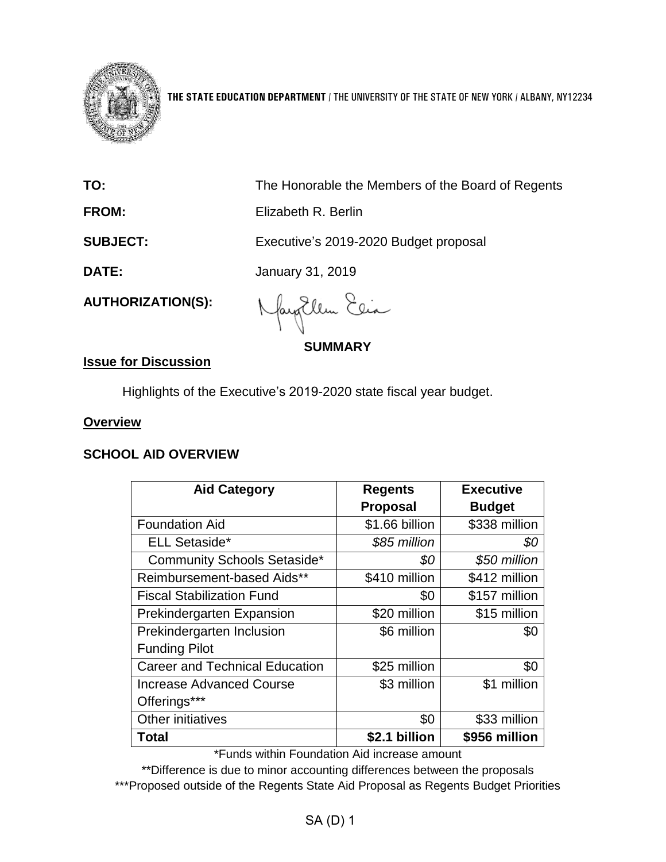

**THE STATE EDUCATION DEPARTMENT** / THE UNIVERSITY OF THE STATE OF NEW YORK / ALBANY, NY12234

| TO:                      | The Honorable the Members of the Board of Regents |
|--------------------------|---------------------------------------------------|
| <b>FROM:</b>             | Elizabeth R. Berlin                               |
| <b>SUBJECT:</b>          | Executive's 2019-2020 Budget proposal             |
| DATE:                    | January 31, 2019                                  |
| <b>AUTHORIZATION(S):</b> | MayEllen Elia                                     |

**SUMMARY**

## **Issue for Discussion**

Highlights of the Executive's 2019-2020 state fiscal year budget.

#### **Overview**

#### **SCHOOL AID OVERVIEW**

| <b>Aid Category</b>                   | <b>Regents</b>  | <b>Executive</b> |
|---------------------------------------|-----------------|------------------|
|                                       | <b>Proposal</b> | <b>Budget</b>    |
| <b>Foundation Aid</b>                 | \$1.66 billion  | \$338 million    |
| <b>ELL Setaside*</b>                  | \$85 million    | \$0              |
| <b>Community Schools Setaside*</b>    | \$0             | \$50 million     |
| Reimbursement-based Aids**            | \$410 million   | \$412 million    |
| <b>Fiscal Stabilization Fund</b>      | \$0             | \$157 million    |
| <b>Prekindergarten Expansion</b>      | \$20 million    | \$15 million     |
| Prekindergarten Inclusion             | \$6 million     | \$0              |
| <b>Funding Pilot</b>                  |                 |                  |
| <b>Career and Technical Education</b> | \$25 million    | \$0              |
| <b>Increase Advanced Course</b>       | \$3 million     | \$1 million      |
| Offerings***                          |                 |                  |
| Other initiatives                     | \$0             | \$33 million     |
| Total                                 | \$2.1 billion   | \$956 million    |

\*Funds within Foundation Aid increase amount

\*\*Difference is due to minor accounting differences between the proposals \*\*\*Proposed outside of the Regents State Aid Proposal as Regents Budget Priorities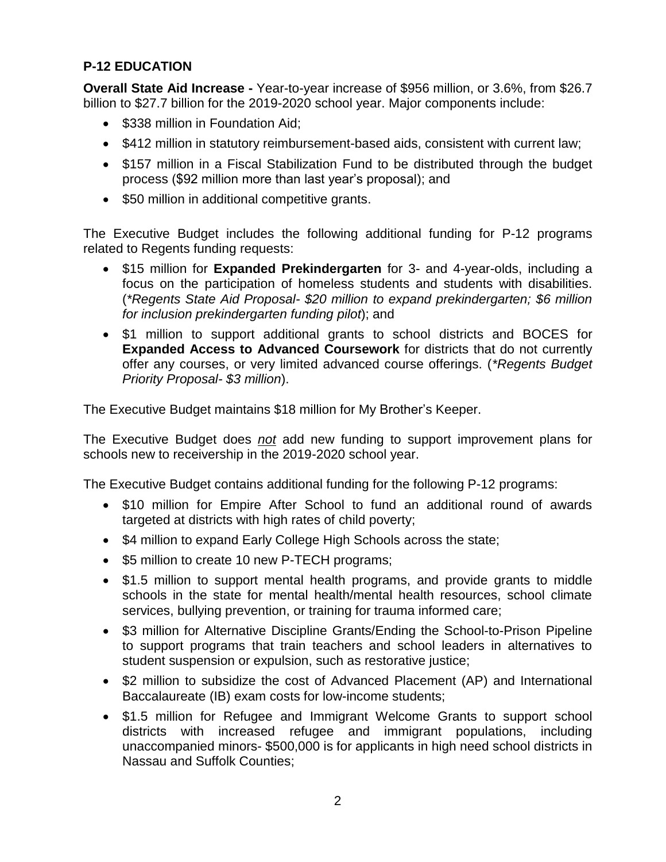## **P-12 EDUCATION**

**Overall State Aid Increase -** Year-to-year increase of \$956 million, or 3.6%, from \$26.7 billion to \$27.7 billion for the 2019-2020 school year. Major components include:

- \$338 million in Foundation Aid:
- \$412 million in statutory reimbursement-based aids, consistent with current law;
- \$157 million in a Fiscal Stabilization Fund to be distributed through the budget process (\$92 million more than last year's proposal); and
- \$50 million in additional competitive grants.

The Executive Budget includes the following additional funding for P-12 programs related to Regents funding requests:

- \$15 million for **Expanded Prekindergarten** for 3- and 4-year-olds, including a focus on the participation of homeless students and students with disabilities. (*\*Regents State Aid Proposal- \$20 million to expand prekindergarten; \$6 million for inclusion prekindergarten funding pilot*); and
- \$1 million to support additional grants to school districts and BOCES for **Expanded Access to Advanced Coursework** for districts that do not currently offer any courses, or very limited advanced course offerings. (*\*Regents Budget Priority Proposal- \$3 million*).

The Executive Budget maintains \$18 million for My Brother's Keeper.

The Executive Budget does *not* add new funding to support improvement plans for schools new to receivership in the 2019-2020 school year.

The Executive Budget contains additional funding for the following P-12 programs:

- \$10 million for Empire After School to fund an additional round of awards targeted at districts with high rates of child poverty;
- \$4 million to expand Early College High Schools across the state;
- \$5 million to create 10 new P-TECH programs;
- \$1.5 million to support mental health programs, and provide grants to middle schools in the state for mental health/mental health resources, school climate services, bullying prevention, or training for trauma informed care;
- \$3 million for Alternative Discipline Grants/Ending the School-to-Prison Pipeline to support programs that train teachers and school leaders in alternatives to student suspension or expulsion, such as restorative justice;
- \$2 million to subsidize the cost of Advanced Placement (AP) and International Baccalaureate (IB) exam costs for low-income students;
- \$1.5 million for Refugee and Immigrant Welcome Grants to support school districts with increased refugee and immigrant populations, including unaccompanied minors- \$500,000 is for applicants in high need school districts in Nassau and Suffolk Counties;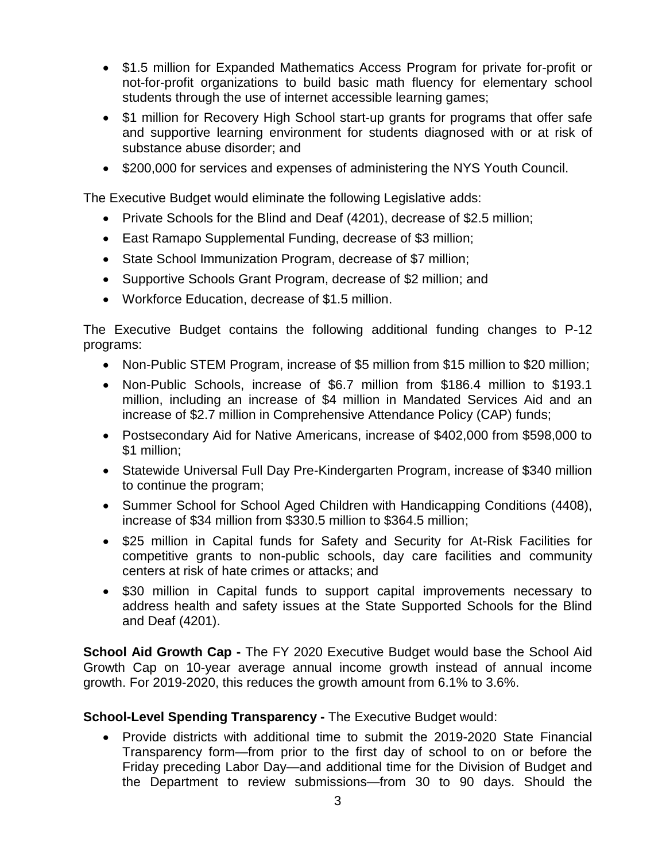- \$1.5 million for Expanded Mathematics Access Program for private for-profit or not-for-profit organizations to build basic math fluency for elementary school students through the use of internet accessible learning games;
- \$1 million for Recovery High School start-up grants for programs that offer safe and supportive learning environment for students diagnosed with or at risk of substance abuse disorder; and
- \$200,000 for services and expenses of administering the NYS Youth Council.

The Executive Budget would eliminate the following Legislative adds:

- Private Schools for the Blind and Deaf (4201), decrease of \$2.5 million;
- East Ramapo Supplemental Funding, decrease of \$3 million;
- State School Immunization Program, decrease of \$7 million;
- Supportive Schools Grant Program, decrease of \$2 million; and
- Workforce Education, decrease of \$1.5 million.

The Executive Budget contains the following additional funding changes to P-12 programs:

- Non-Public STEM Program, increase of \$5 million from \$15 million to \$20 million;
- Non-Public Schools, increase of \$6.7 million from \$186.4 million to \$193.1 million, including an increase of \$4 million in Mandated Services Aid and an increase of \$2.7 million in Comprehensive Attendance Policy (CAP) funds;
- Postsecondary Aid for Native Americans, increase of \$402,000 from \$598,000 to \$1 million;
- Statewide Universal Full Day Pre-Kindergarten Program, increase of \$340 million to continue the program;
- Summer School for School Aged Children with Handicapping Conditions (4408), increase of \$34 million from \$330.5 million to \$364.5 million;
- \$25 million in Capital funds for Safety and Security for At-Risk Facilities for competitive grants to non-public schools, day care facilities and community centers at risk of hate crimes or attacks; and
- \$30 million in Capital funds to support capital improvements necessary to address health and safety issues at the State Supported Schools for the Blind and Deaf (4201).

**School Aid Growth Cap -** The FY 2020 Executive Budget would base the School Aid Growth Cap on 10-year average annual income growth instead of annual income growth. For 2019-2020, this reduces the growth amount from 6.1% to 3.6%.

#### **School-Level Spending Transparency -** The Executive Budget would:

• Provide districts with additional time to submit the 2019-2020 State Financial Transparency form—from prior to the first day of school to on or before the Friday preceding Labor Day—and additional time for the Division of Budget and the Department to review submissions—from 30 to 90 days. Should the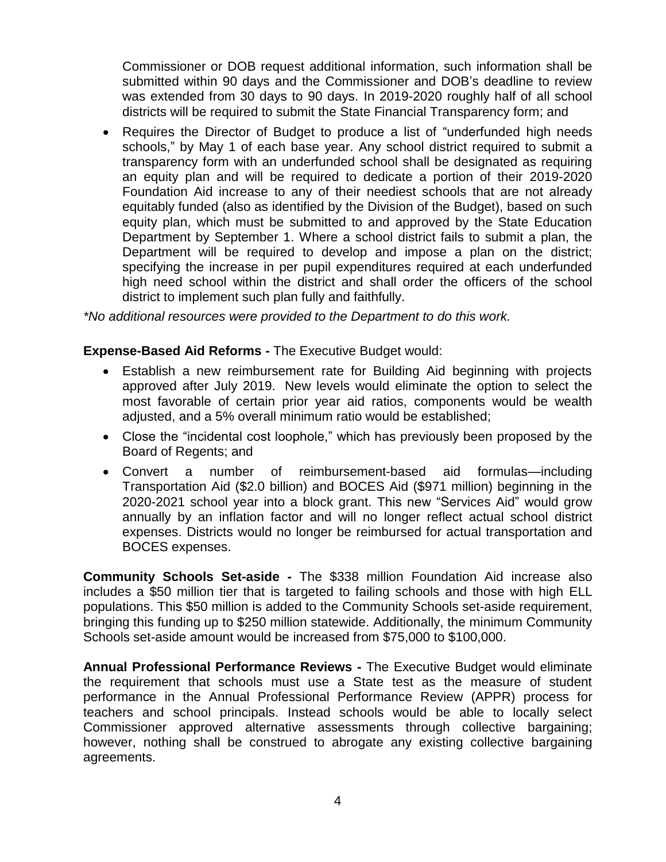Commissioner or DOB request additional information, such information shall be submitted within 90 days and the Commissioner and DOB's deadline to review was extended from 30 days to 90 days. In 2019-2020 roughly half of all school districts will be required to submit the State Financial Transparency form; and

• Requires the Director of Budget to produce a list of "underfunded high needs schools," by May 1 of each base year. Any school district required to submit a transparency form with an underfunded school shall be designated as requiring an equity plan and will be required to dedicate a portion of their 2019-2020 Foundation Aid increase to any of their neediest schools that are not already equitably funded (also as identified by the Division of the Budget), based on such equity plan, which must be submitted to and approved by the State Education Department by September 1. Where a school district fails to submit a plan, the Department will be required to develop and impose a plan on the district; specifying the increase in per pupil expenditures required at each underfunded high need school within the district and shall order the officers of the school district to implement such plan fully and faithfully.

*\*No additional resources were provided to the Department to do this work.*

#### **Expense-Based Aid Reforms -** The Executive Budget would:

- Establish a new reimbursement rate for Building Aid beginning with projects approved after July 2019. New levels would eliminate the option to select the most favorable of certain prior year aid ratios, components would be wealth adjusted, and a 5% overall minimum ratio would be established;
- Close the "incidental cost loophole," which has previously been proposed by the Board of Regents; and
- Convert a number of reimbursement-based aid formulas—including Transportation Aid (\$2.0 billion) and BOCES Aid (\$971 million) beginning in the 2020-2021 school year into a block grant. This new "Services Aid" would grow annually by an inflation factor and will no longer reflect actual school district expenses. Districts would no longer be reimbursed for actual transportation and BOCES expenses.

**Community Schools Set-aside -** The \$338 million Foundation Aid increase also includes a \$50 million tier that is targeted to failing schools and those with high ELL populations. This \$50 million is added to the Community Schools set-aside requirement, bringing this funding up to \$250 million statewide. Additionally, the minimum Community Schools set-aside amount would be increased from \$75,000 to \$100,000.

**Annual Professional Performance Reviews -** The Executive Budget would eliminate the requirement that schools must use a State test as the measure of student performance in the Annual Professional Performance Review (APPR) process for teachers and school principals. Instead schools would be able to locally select Commissioner approved alternative assessments through collective bargaining; however, nothing shall be construed to abrogate any existing collective bargaining agreements.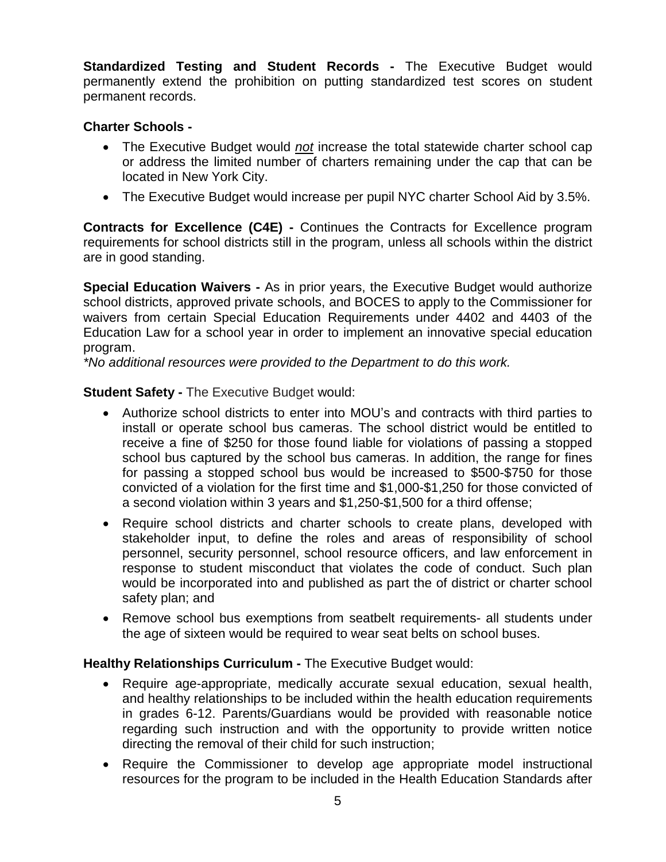**Standardized Testing and Student Records -** The Executive Budget would permanently extend the prohibition on putting standardized test scores on student permanent records.

### **Charter Schools -**

- The Executive Budget would *not* increase the total statewide charter school cap or address the limited number of charters remaining under the cap that can be located in New York City.
- The Executive Budget would increase per pupil NYC charter School Aid by 3.5%.

**Contracts for Excellence (C4E) -** Continues the Contracts for Excellence program requirements for school districts still in the program, unless all schools within the district are in good standing.

**Special Education Waivers -** As in prior years, the Executive Budget would authorize school districts, approved private schools, and BOCES to apply to the Commissioner for waivers from certain Special Education Requirements under 4402 and 4403 of the Education Law for a school year in order to implement an innovative special education program.

*\*No additional resources were provided to the Department to do this work.*

#### **Student Safety -** The Executive Budget would:

- Authorize school districts to enter into MOU's and contracts with third parties to install or operate school bus cameras. The school district would be entitled to receive a fine of \$250 for those found liable for violations of passing a stopped school bus captured by the school bus cameras. In addition, the range for fines for passing a stopped school bus would be increased to \$500-\$750 for those convicted of a violation for the first time and \$1,000-\$1,250 for those convicted of a second violation within 3 years and \$1,250-\$1,500 for a third offense;
- Require school districts and charter schools to create plans, developed with stakeholder input, to define the roles and areas of responsibility of school personnel, security personnel, school resource officers, and law enforcement in response to student misconduct that violates the code of conduct. Such plan would be incorporated into and published as part the of district or charter school safety plan; and
- Remove school bus exemptions from seatbelt requirements- all students under the age of sixteen would be required to wear seat belts on school buses.

#### **Healthy Relationships Curriculum -** The Executive Budget would:

- Require age-appropriate, medically accurate sexual education, sexual health, and healthy relationships to be included within the health education requirements in grades 6-12. Parents/Guardians would be provided with reasonable notice regarding such instruction and with the opportunity to provide written notice directing the removal of their child for such instruction;
- Require the Commissioner to develop age appropriate model instructional resources for the program to be included in the Health Education Standards after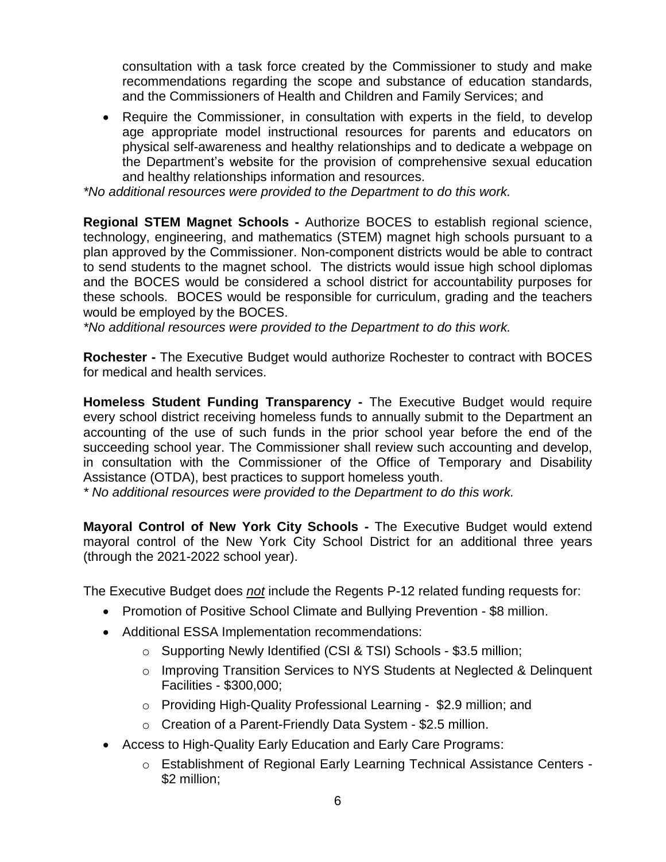consultation with a task force created by the Commissioner to study and make recommendations regarding the scope and substance of education standards, and the Commissioners of Health and Children and Family Services; and

• Require the Commissioner, in consultation with experts in the field, to develop age appropriate model instructional resources for parents and educators on physical self-awareness and healthy relationships and to dedicate a webpage on the Department's website for the provision of comprehensive sexual education and healthy relationships information and resources.

*\*No additional resources were provided to the Department to do this work.*

**Regional STEM Magnet Schools -** Authorize BOCES to establish regional science, technology, engineering, and mathematics (STEM) magnet high schools pursuant to a plan approved by the Commissioner. Non-component districts would be able to contract to send students to the magnet school. The districts would issue high school diplomas and the BOCES would be considered a school district for accountability purposes for these schools. BOCES would be responsible for curriculum, grading and the teachers would be employed by the BOCES.

*\*No additional resources were provided to the Department to do this work.*

**Rochester -** The Executive Budget would authorize Rochester to contract with BOCES for medical and health services.

**Homeless Student Funding Transparency -** The Executive Budget would require every school district receiving homeless funds to annually submit to the Department an accounting of the use of such funds in the prior school year before the end of the succeeding school year. The Commissioner shall review such accounting and develop, in consultation with the Commissioner of the Office of Temporary and Disability Assistance (OTDA), best practices to support homeless youth.

*\* No additional resources were provided to the Department to do this work.*

**Mayoral Control of New York City Schools -** The Executive Budget would extend mayoral control of the New York City School District for an additional three years (through the 2021-2022 school year).

The Executive Budget does *not* include the Regents P-12 related funding requests for:

- Promotion of Positive School Climate and Bullying Prevention \$8 million.
- Additional ESSA Implementation recommendations:
	- o Supporting Newly Identified (CSI & TSI) Schools \$3.5 million;
	- o Improving Transition Services to NYS Students at Neglected & Delinquent Facilities - \$300,000;
	- o Providing High-Quality Professional Learning \$2.9 million; and
	- o Creation of a Parent-Friendly Data System \$2.5 million.
- Access to High-Quality Early Education and Early Care Programs:
	- o Establishment of Regional Early Learning Technical Assistance Centers \$2 million;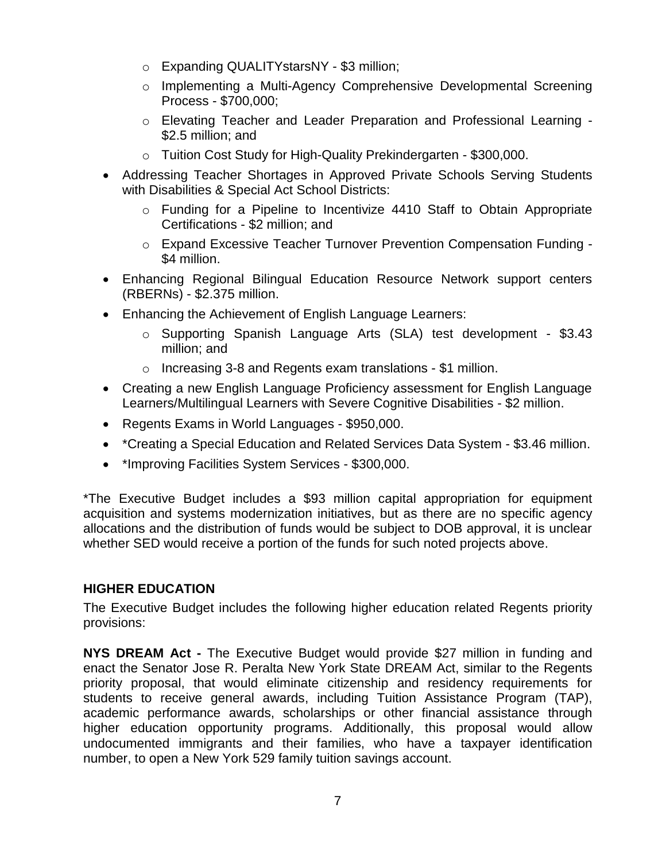- o Expanding QUALITYstarsNY \$3 million;
- o Implementing a Multi-Agency Comprehensive Developmental Screening Process - \$700,000;
- o Elevating Teacher and Leader Preparation and Professional Learning \$2.5 million; and
- o Tuition Cost Study for High-Quality Prekindergarten \$300,000.
- Addressing Teacher Shortages in Approved Private Schools Serving Students with Disabilities & Special Act School Districts:
	- o Funding for a Pipeline to Incentivize 4410 Staff to Obtain Appropriate Certifications - \$2 million; and
	- o Expand Excessive Teacher Turnover Prevention Compensation Funding \$4 million.
- Enhancing Regional Bilingual Education Resource Network support centers (RBERNs) - \$2.375 million.
- Enhancing the Achievement of English Language Learners:
	- o Supporting Spanish Language Arts (SLA) test development \$3.43 million; and
	- o Increasing 3-8 and Regents exam translations \$1 million.
- Creating a new English Language Proficiency assessment for English Language Learners/Multilingual Learners with Severe Cognitive Disabilities - \$2 million.
- Regents Exams in World Languages \$950,000.
- \*Creating a Special Education and Related Services Data System \$3.46 million.
- \*Improving Facilities System Services \$300,000.

\*The Executive Budget includes a \$93 million capital appropriation for equipment acquisition and systems modernization initiatives, but as there are no specific agency allocations and the distribution of funds would be subject to DOB approval, it is unclear whether SED would receive a portion of the funds for such noted projects above.

# **HIGHER EDUCATION**

The Executive Budget includes the following higher education related Regents priority provisions:

**NYS DREAM Act -** The Executive Budget would provide \$27 million in funding and enact the Senator Jose R. Peralta New York State DREAM Act, similar to the Regents priority proposal, that would eliminate citizenship and residency requirements for students to receive general awards, including Tuition Assistance Program (TAP), academic performance awards, scholarships or other financial assistance through higher education opportunity programs. Additionally, this proposal would allow undocumented immigrants and their families, who have a taxpayer identification number, to open a New York 529 family tuition savings account.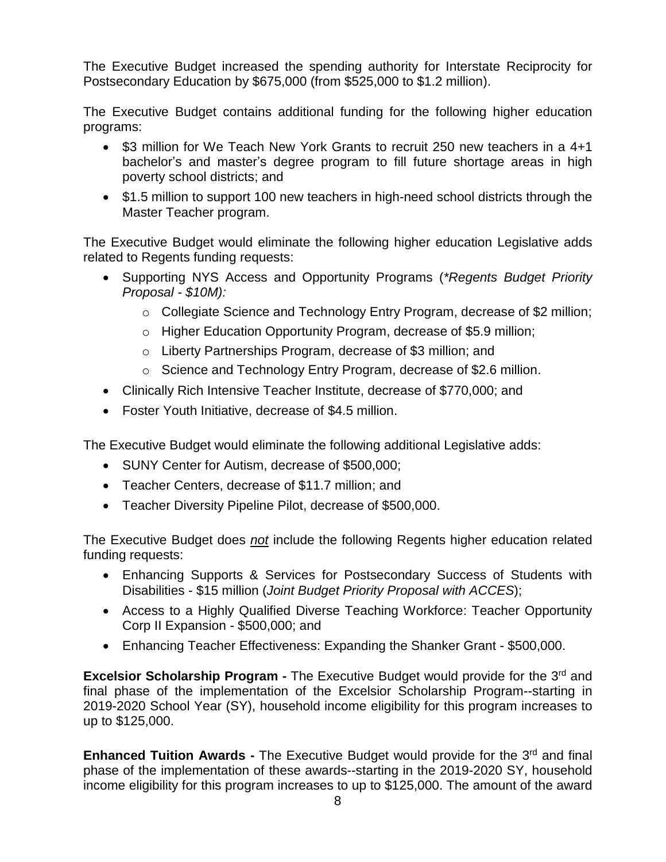The Executive Budget increased the spending authority for Interstate Reciprocity for Postsecondary Education by \$675,000 (from \$525,000 to \$1.2 million).

The Executive Budget contains additional funding for the following higher education programs:

- \$3 million for We Teach New York Grants to recruit 250 new teachers in a 4+1 bachelor's and master's degree program to fill future shortage areas in high poverty school districts; and
- \$1.5 million to support 100 new teachers in high-need school districts through the Master Teacher program.

The Executive Budget would eliminate the following higher education Legislative adds related to Regents funding requests:

- Supporting NYS Access and Opportunity Programs (*\*Regents Budget Priority Proposal - \$10M):*
	- o Collegiate Science and Technology Entry Program, decrease of \$2 million;
	- o Higher Education Opportunity Program, decrease of \$5.9 million;
	- o Liberty Partnerships Program, decrease of \$3 million; and
	- o Science and Technology Entry Program, decrease of \$2.6 million.
- Clinically Rich Intensive Teacher Institute, decrease of \$770,000; and
- Foster Youth Initiative, decrease of \$4.5 million.

The Executive Budget would eliminate the following additional Legislative adds:

- SUNY Center for Autism, decrease of \$500,000;
- Teacher Centers, decrease of \$11.7 million; and
- Teacher Diversity Pipeline Pilot, decrease of \$500,000.

The Executive Budget does *not* include the following Regents higher education related funding requests:

- Enhancing Supports & Services for Postsecondary Success of Students with Disabilities - \$15 million (*Joint Budget Priority Proposal with ACCES*);
- Access to a Highly Qualified Diverse Teaching Workforce: Teacher Opportunity Corp II Expansion - \$500,000; and
- Enhancing Teacher Effectiveness: Expanding the Shanker Grant \$500,000.

**Excelsior Scholarship Program -** The Executive Budget would provide for the 3<sup>rd</sup> and final phase of the implementation of the Excelsior Scholarship Program--starting in 2019-2020 School Year (SY), household income eligibility for this program increases to up to \$125,000.

**Enhanced Tuition Awards -** The Executive Budget would provide for the 3<sup>rd</sup> and final phase of the implementation of these awards--starting in the 2019-2020 SY, household income eligibility for this program increases to up to \$125,000. The amount of the award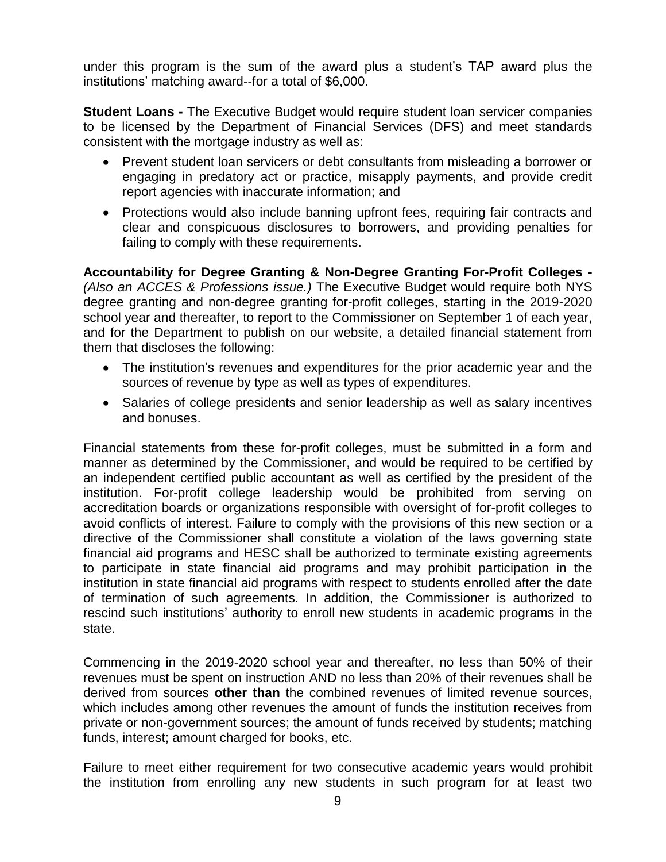under this program is the sum of the award plus a student's TAP award plus the institutions' matching award--for a total of \$6,000.

**Student Loans -** The Executive Budget would require student loan servicer companies to be licensed by the Department of Financial Services (DFS) and meet standards consistent with the mortgage industry as well as:

- Prevent student loan servicers or debt consultants from misleading a borrower or engaging in predatory act or practice, misapply payments, and provide credit report agencies with inaccurate information; and
- Protections would also include banning upfront fees, requiring fair contracts and clear and conspicuous disclosures to borrowers, and providing penalties for failing to comply with these requirements.

**Accountability for Degree Granting & Non-Degree Granting For-Profit Colleges -** *(Also an ACCES & Professions issue.)* The Executive Budget would require both NYS degree granting and non-degree granting for-profit colleges, starting in the 2019-2020 school year and thereafter, to report to the Commissioner on September 1 of each year, and for the Department to publish on our website, a detailed financial statement from them that discloses the following:

- The institution's revenues and expenditures for the prior academic year and the sources of revenue by type as well as types of expenditures.
- Salaries of college presidents and senior leadership as well as salary incentives and bonuses.

Financial statements from these for-profit colleges, must be submitted in a form and manner as determined by the Commissioner, and would be required to be certified by an independent certified public accountant as well as certified by the president of the institution. For-profit college leadership would be prohibited from serving on accreditation boards or organizations responsible with oversight of for-profit colleges to avoid conflicts of interest. Failure to comply with the provisions of this new section or a directive of the Commissioner shall constitute a violation of the laws governing state financial aid programs and HESC shall be authorized to terminate existing agreements to participate in state financial aid programs and may prohibit participation in the institution in state financial aid programs with respect to students enrolled after the date of termination of such agreements. In addition, the Commissioner is authorized to rescind such institutions' authority to enroll new students in academic programs in the state.

Commencing in the 2019-2020 school year and thereafter, no less than 50% of their revenues must be spent on instruction AND no less than 20% of their revenues shall be derived from sources **other than** the combined revenues of limited revenue sources, which includes among other revenues the amount of funds the institution receives from private or non-government sources; the amount of funds received by students; matching funds, interest; amount charged for books, etc.

Failure to meet either requirement for two consecutive academic years would prohibit the institution from enrolling any new students in such program for at least two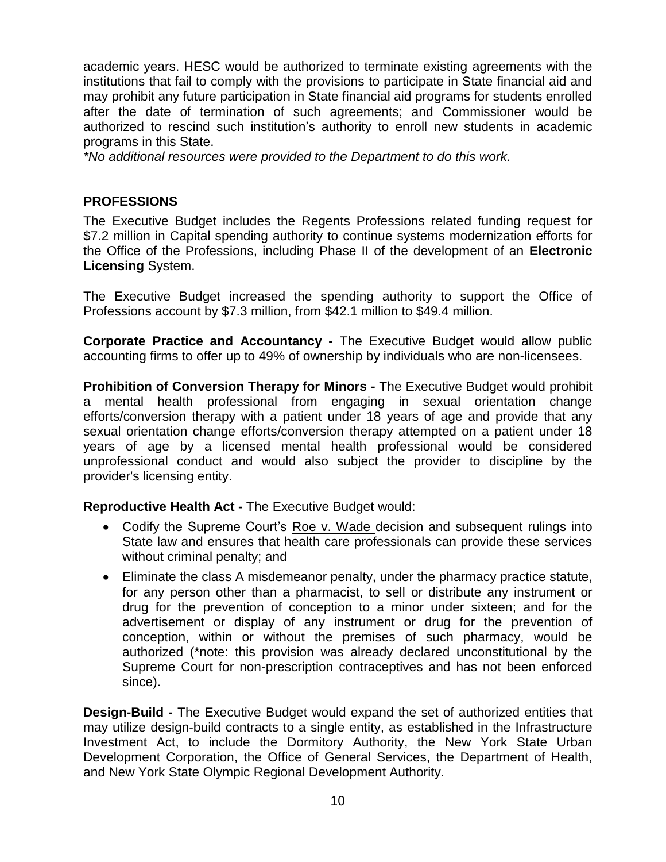academic years. HESC would be authorized to terminate existing agreements with the institutions that fail to comply with the provisions to participate in State financial aid and may prohibit any future participation in State financial aid programs for students enrolled after the date of termination of such agreements; and Commissioner would be authorized to rescind such institution's authority to enroll new students in academic programs in this State.

*\*No additional resources were provided to the Department to do this work.*

## **PROFESSIONS**

The Executive Budget includes the Regents Professions related funding request for \$7.2 million in Capital spending authority to continue systems modernization efforts for the Office of the Professions, including Phase II of the development of an **Electronic Licensing** System.

The Executive Budget increased the spending authority to support the Office of Professions account by \$7.3 million, from \$42.1 million to \$49.4 million.

**Corporate Practice and Accountancy -** The Executive Budget would allow public accounting firms to offer up to 49% of ownership by individuals who are non-licensees.

**Prohibition of Conversion Therapy for Minors -** The Executive Budget would prohibit a mental health professional from engaging in sexual orientation change efforts/conversion therapy with a patient under 18 years of age and provide that any sexual orientation change efforts/conversion therapy attempted on a patient under 18 years of age by a licensed mental health professional would be considered unprofessional conduct and would also subject the provider to discipline by the provider's licensing entity.

**Reproductive Health Act -** The Executive Budget would:

- Codify the Supreme Court's Roe v. Wade decision and subsequent rulings into State law and ensures that health care professionals can provide these services without criminal penalty; and
- Eliminate the class A misdemeanor penalty, under the pharmacy practice statute, for any person other than a pharmacist, to sell or distribute any instrument or drug for the prevention of conception to a minor under sixteen; and for the advertisement or display of any instrument or drug for the prevention of conception, within or without the premises of such pharmacy, would be authorized (\*note: this provision was already declared unconstitutional by the Supreme Court for non-prescription contraceptives and has not been enforced since).

**Design-Build -** The Executive Budget would expand the set of authorized entities that may utilize design-build contracts to a single entity, as established in the Infrastructure Investment Act, to include the Dormitory Authority, the New York State Urban Development Corporation, the Office of General Services, the Department of Health, and New York State Olympic Regional Development Authority.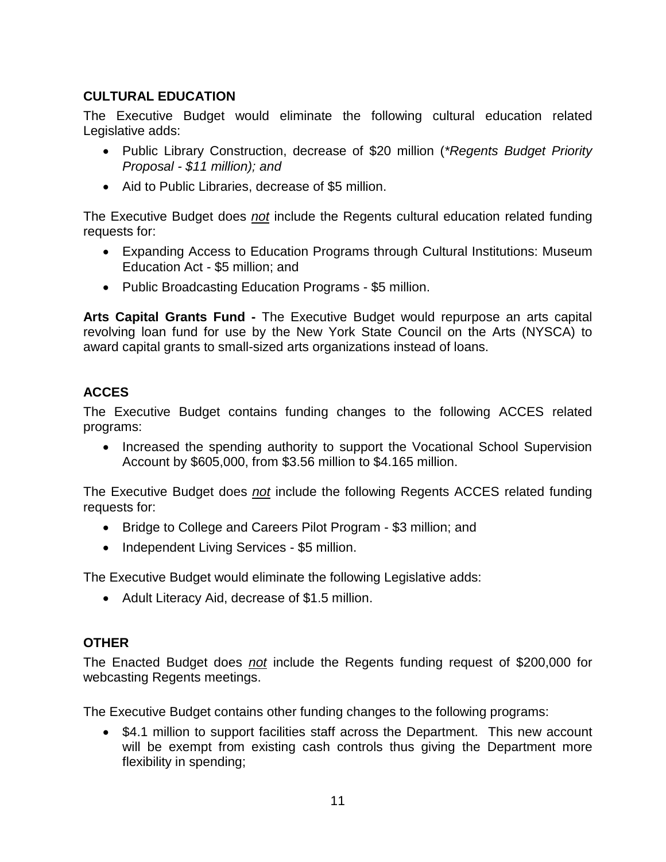# **CULTURAL EDUCATION**

The Executive Budget would eliminate the following cultural education related Legislative adds:

- Public Library Construction, decrease of \$20 million (*\*Regents Budget Priority Proposal - \$11 million); and*
- Aid to Public Libraries, decrease of \$5 million.

The Executive Budget does *not* include the Regents cultural education related funding requests for:

- Expanding Access to Education Programs through Cultural Institutions: Museum Education Act - \$5 million; and
- Public Broadcasting Education Programs \$5 million.

**Arts Capital Grants Fund -** The Executive Budget would repurpose an arts capital revolving loan fund for use by the New York State Council on the Arts (NYSCA) to award capital grants to small-sized arts organizations instead of loans.

# **ACCES**

The Executive Budget contains funding changes to the following ACCES related programs:

• Increased the spending authority to support the Vocational School Supervision Account by \$605,000, from \$3.56 million to \$4.165 million.

The Executive Budget does *not* include the following Regents ACCES related funding requests for:

- Bridge to College and Careers Pilot Program \$3 million; and
- Independent Living Services \$5 million.

The Executive Budget would eliminate the following Legislative adds:

• Adult Literacy Aid, decrease of \$1.5 million.

# **OTHER**

The Enacted Budget does *not* include the Regents funding request of \$200,000 for webcasting Regents meetings.

The Executive Budget contains other funding changes to the following programs:

• \$4.1 million to support facilities staff across the Department. This new account will be exempt from existing cash controls thus giving the Department more flexibility in spending;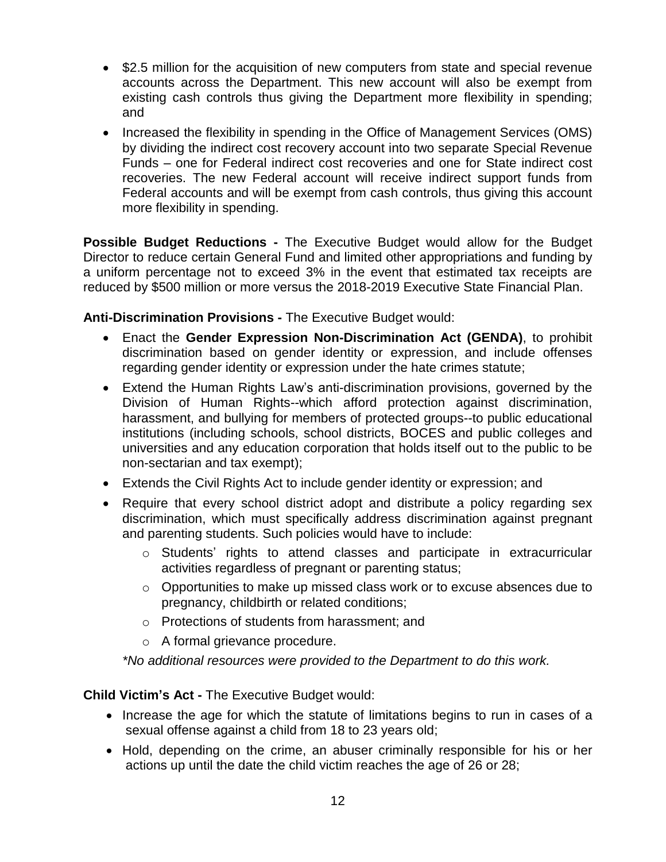- \$2.5 million for the acquisition of new computers from state and special revenue accounts across the Department. This new account will also be exempt from existing cash controls thus giving the Department more flexibility in spending; and
- Increased the flexibility in spending in the Office of Management Services (OMS) by dividing the indirect cost recovery account into two separate Special Revenue Funds – one for Federal indirect cost recoveries and one for State indirect cost recoveries. The new Federal account will receive indirect support funds from Federal accounts and will be exempt from cash controls, thus giving this account more flexibility in spending.

**Possible Budget Reductions -** The Executive Budget would allow for the Budget Director to reduce certain General Fund and limited other appropriations and funding by a uniform percentage not to exceed 3% in the event that estimated tax receipts are reduced by \$500 million or more versus the 2018-2019 Executive State Financial Plan.

**Anti-Discrimination Provisions -** The Executive Budget would:

- Enact the **Gender Expression Non-Discrimination Act (GENDA)**, to prohibit discrimination based on gender identity or expression, and include offenses regarding gender identity or expression under the hate crimes statute;
- Extend the Human Rights Law's anti-discrimination provisions, governed by the Division of Human Rights--which afford protection against discrimination, harassment, and bullying for members of protected groups--to public educational institutions (including schools, school districts, BOCES and public colleges and universities and any education corporation that holds itself out to the public to be non-sectarian and tax exempt);
- Extends the Civil Rights Act to include gender identity or expression; and
- Require that every school district adopt and distribute a policy regarding sex discrimination, which must specifically address discrimination against pregnant and parenting students. Such policies would have to include:
	- o Students' rights to attend classes and participate in extracurricular activities regardless of pregnant or parenting status;
	- o Opportunities to make up missed class work or to excuse absences due to pregnancy, childbirth or related conditions;
	- o Protections of students from harassment; and
	- o A formal grievance procedure.

*\*No additional resources were provided to the Department to do this work.*

**Child Victim's Act -** The Executive Budget would:

- Increase the age for which the statute of limitations begins to run in cases of a sexual offense against a child from 18 to 23 years old;
- Hold, depending on the crime, an abuser criminally responsible for his or her actions up until the date the child victim reaches the age of 26 or 28;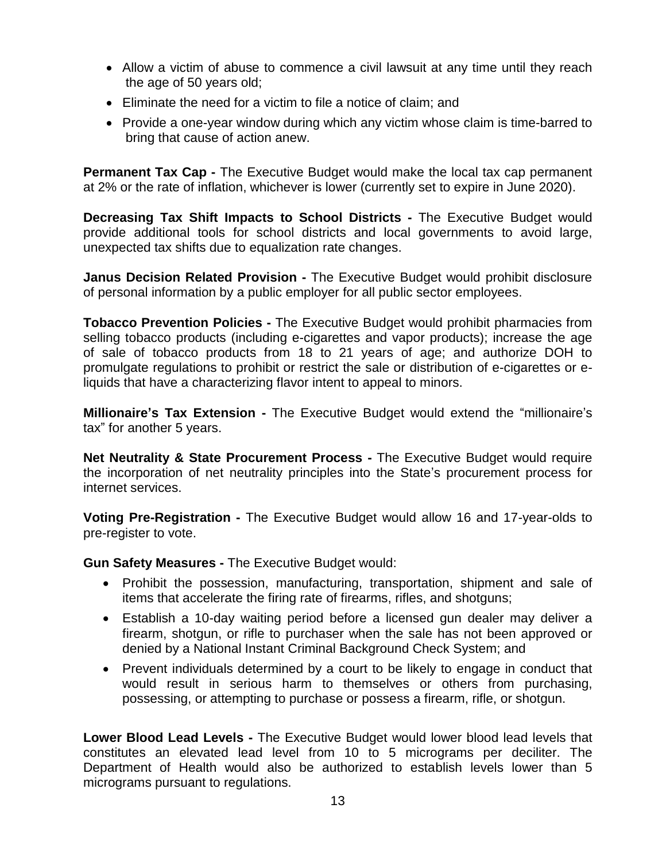- Allow a victim of abuse to commence a civil lawsuit at any time until they reach the age of 50 years old;
- Eliminate the need for a victim to file a notice of claim; and
- Provide a one-year window during which any victim whose claim is time-barred to bring that cause of action anew.

**Permanent Tax Cap -** The Executive Budget would make the local tax cap permanent at 2% or the rate of inflation, whichever is lower (currently set to expire in June 2020).

**Decreasing Tax Shift Impacts to School Districts -** The Executive Budget would provide additional tools for school districts and local governments to avoid large, unexpected tax shifts due to equalization rate changes.

**Janus Decision Related Provision -** The Executive Budget would prohibit disclosure of personal information by a public employer for all public sector employees.

**Tobacco Prevention Policies -** The Executive Budget would prohibit pharmacies from selling tobacco products (including e-cigarettes and vapor products); increase the age of sale of tobacco products from 18 to 21 years of age; and authorize DOH to promulgate regulations to prohibit or restrict the sale or distribution of e-cigarettes or eliquids that have a characterizing flavor intent to appeal to minors.

**Millionaire's Tax Extension -** The Executive Budget would extend the "millionaire's tax" for another 5 years.

**Net Neutrality & State Procurement Process -** The Executive Budget would require the incorporation of net neutrality principles into the State's procurement process for internet services.

**Voting Pre-Registration -** The Executive Budget would allow 16 and 17-year-olds to pre-register to vote.

**Gun Safety Measures -** The Executive Budget would:

- Prohibit the possession, manufacturing, transportation, shipment and sale of items that accelerate the firing rate of firearms, rifles, and shotguns;
- Establish a 10-day waiting period before a licensed gun dealer may deliver a firearm, shotgun, or rifle to purchaser when the sale has not been approved or denied by a National Instant Criminal Background Check System; and
- Prevent individuals determined by a court to be likely to engage in conduct that would result in serious harm to themselves or others from purchasing, possessing, or attempting to purchase or possess a firearm, rifle, or shotgun.

**Lower Blood Lead Levels -** The Executive Budget would lower blood lead levels that constitutes an elevated lead level from 10 to 5 micrograms per deciliter. The Department of Health would also be authorized to establish levels lower than 5 micrograms pursuant to regulations.